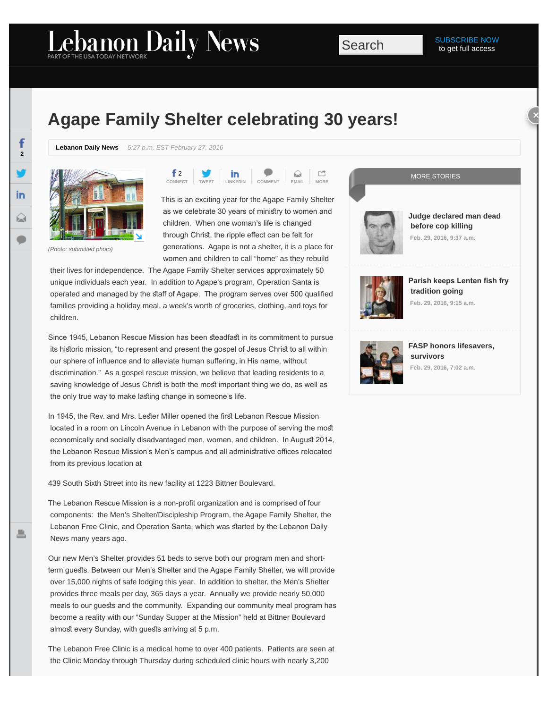## Lebanon Daily News

## **Agape Family Shelter celebrating 30 years!**

**Lebanon Daily News** *5:27 p.m. EST February 27, 2016*



*(Photo: submitted photo)*

 $f<sub>2</sub>$ in **CONNECT [TWEET](https://twitter.com/intent/tweet?url=http%3A//ldne.ws/1QOAr2a&text=Agape%20Family%20Shelter%20celebrating%2030%20years%21&via=ldnews) [LINKEDIN](http://www.linkedin.com/shareArticle?url=http%3A//ldne.ws/1QOAr2a&mini=true) COMMENT EMAIL MORE**

This is an exciting year for the Agape Family Shelter as we celebrate 30 years of ministry to women and children. When one woman's life is changed through Christ, the ripple effect can be felt for generations. Agape is not a shelter, it is a place for women and children to call "home" as they rebuild

 their lives for independence. The Agape Family Shelter services approximately 50 unique individuals each year. In addition to Agape's program, Operation Santa is operated and managed by the staff of Agape. The program serves over 500 qualified families providing a holiday meal, a week's worth of groceries, clothing, and toys for children.

Since 1945, Lebanon Rescue Mission has been steadfast in its commitment to pursue its historic mission, "to represent and present the gospel of Jesus Christ to all within our sphere of infuence and to alleviate human sufering, in His name, without discrimination." As a gospel rescue mission, we believe that leading residents to a saving knowledge of Jesus Christ is both the most important thing we do, as well as the only true way to make lasting change in someone's life.

In 1945, the Rev. and Mrs. Lester Miller opened the first Lebanon Rescue Mission located in a room on Lincoln Avenue in Lebanon with the purpose of serving the mos economically and socially disadvantaged men, women, and children. In August 2014, the Lebanon Rescue Mission's Men's campus and all administrative offices relocated from its previous location at

439 South Sixth Street into its new facility at 1223 Bittner Boulevard.

The Lebanon Rescue Mission is a non-proft organization and is comprised of four components: the Men's Shelter/Discipleship Program, the Agape Family Shelter, the Lebanon Free Clinic, and Operation Santa, which was started by the Lebanon Daily News many years ago.

Our new Men's Shelter provides 51 beds to serve both our program men and shortterm guests. Between our Men's Shelter and the Agape Family Shelter, we will provide over 15,000 nights of safe lodging this year. In addition to shelter, the Men's Shelter provides three meals per day, 365 days a year. Annually we provide nearly 50,000 meals to our guests and the community. Expanding our community meal program has become a reality with our "Sunday Supper at the Mission" held at Bittner Boulevard almost every Sunday, with guests arriving at 5 p.m.

The Lebanon Free Clinic is a medical home to over 400 patients. Patients are seen at the Clinic Monday through Thursday during scheduled clinic hours with nearly 3,200





**[Judge declared man dead](http://www.ldnews.com/story/news/crime/2016/02/27/man-who-killed-md-deputies-lived-york/81044696/)  [before cop killing](http://www.ldnews.com/story/news/crime/2016/02/27/man-who-killed-md-deputies-lived-york/81044696/) Feb. 29, 2016, 9:37 a.m.**



**Parish keeps Lenten fish fry  [tradition going](http://www.ldnews.com/story/news/local/2016/02/29/parish-keeps-lenten-fish-fry-tradition-going/80946680/) Feb. 29, 2016, 9:15 a.m.**



**[FASP honors lifesavers,](http://www.ldnews.com/story/news/local/community/2016/02/26/fasp-honors-lifesavers-survivors/80990028/)  [survivors](http://www.ldnews.com/story/news/local/community/2016/02/26/fasp-honors-lifesavers-survivors/80990028/) Feb. 29, 2016, 7:02 a.m.**

**2**

in

 $\mathfrak{S}$ 

f